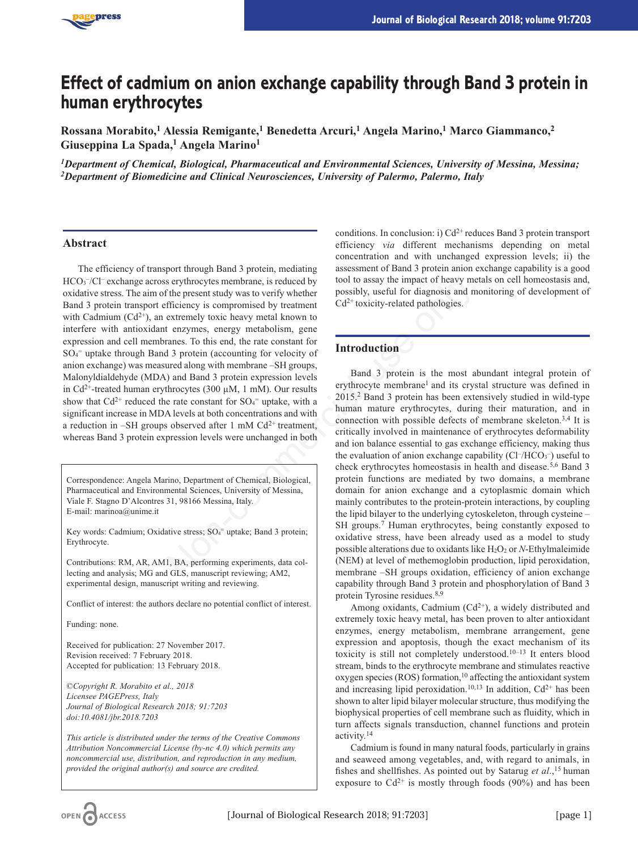

# **Effect of cadmium on anion exchange capability through Band 3 protein in human erythrocytes**

**Rossana Morabito,1 Alessia Remigante,1 Benedetta Arcuri,1 Angela Marino,1 Marco Giammanco,2 Giuseppina La Spada,1 Angela Marino1**

*1Department of Chemical, Biological, Pharmaceutical and Environmental Sciences, University of Messina, Messina; 2Department of Biomedicine and Clinical Neurosciences, University of Palermo, Palermo, Italy*

## **Abstract**

The efficiency of transport through Band 3 protein, mediating HCO<sub>3</sub>-/Cl<sup>-</sup> exchange across erythrocytes membrane, is reduced by oxidative stress. The aim of the present study was to verify whether Band 3 protein transport efficiency is compromised by treatment with Cadmium  $(Cd^{2+})$ , an extremely toxic heavy metal known to interfere with antioxidant enzymes, energy metabolism, gene expression and cell membranes. To this end, the rate constant for SO4 <sup>=</sup> uptake through Band 3 protein (accounting for velocity of anion exchange) was measured along with membrane –SH groups, Malonyldialdehyde (MDA) and Band 3 protein expression levels in Cd<sup>2+</sup>-treated human erythrocytes (300  $\mu$ M, 1 mM). Our results show that  $Cd^{2+}$  reduced the rate constant for  $SO_4^-$  uptake, with a significant increase in MDA levels at both concentrations and with a reduction in –SH groups observed after 1 mM  $Cd^{2+}$  treatment, whereas Band 3 protein expression levels were unchanged in both

Correspondence: Angela Marino, Department of Chemical, Biological, Pharmaceutical and Environmental Sciences, University of Messina, Viale F. Stagno D'Alcontres 31, 98166 Messina, Italy. E-mail: marinoa@unime.it

Key words: Cadmium; Oxidative stress; SO<sub>4</sub><sup>=</sup> uptake; Band 3 protein; Erythrocyte.

Contributions: RM, AR, AM1, BA, performing experiments, data collecting and analysis; MG and GLS, manuscript reviewing; AM2, experimental design, manuscript writing and reviewing.

Conflict of interest: the authors declare no potential conflict of interest.

Funding: none.

Received for publication: 27 November 2017. Revision received: 7 February 2018. Accepted for publication: 13 February 2018.

©*Copyright R. Morabito et al., 2018 Licensee PAGEPress, Italy Journal of Biological Research 2018; 91:7203 doi:10.4081/jbr.2018.7203*

*This article is distributed under the terms of the Creative Commons Attribution Noncommercial License (by-nc 4.0) which permits any noncommercial use, distribution, and reproduction in any medium, provided the original author(s) and source are credited.*

conditions. In conclusion: i)  $Cd^{2+}$  reduces Band 3 protein transport efficiency *via* different mechanisms depending on metal concentration and with unchanged expression levels; ii) the assessment of Band 3 protein anion exchange capability is a good tool to assay the impact of heavy metals on cell homeostasis and, possibly, useful for diagnosis and monitoring of development of  $Cd<sup>2+</sup>$  toxicity-related pathologies.

## **Introduction**

Band 3 protein is the most abundant integral protein of erythrocyte membrane<sup>1</sup> and its crystal structure was defined in 2015.2 Band 3 protein has been extensively studied in wild-type human mature erythrocytes, during their maturation, and in connection with possible defects of membrane skeleton.3,4 It is critically involved in maintenance of erythrocytes deformability and ion balance essential to gas exchange efficiency, making thus the evaluation of anion exchange capability  $(CI/HCO<sub>3</sub><sup>-</sup>)$  useful to check erythrocytes homeostasis in health and disease.5,6 Band 3 protein functions are mediated by two domains, a membrane domain for anion exchange and a cytoplasmic domain which mainly contributes to the protein-protein interactions, by coupling the lipid bilayer to the underlying cytoskeleton, through cysteine – SH groups.7 Human erythrocytes, being constantly exposed to oxidative stress, have been already used as a model to study possible alterations due to oxidants like H<sub>2</sub>O<sub>2</sub> or *N*-Ethylmaleimide (NEM) at level of methemoglobin production, lipid peroxidation, membrane –SH groups oxidation, efficiency of anion exchange capability through Band 3 protein and phosphorylation of Band 3 protein Tyrosine residues.<sup>8,9</sup> Something and 3 profit and y tool to assay the impact of heavy me<br>
or the present study was to verify whether<br>
define the somethy of the means. To this end, the ends only the mean<br>
of the magnesia and mean of the rate cons

Among oxidants, Cadmium  $(Cd^{2+})$ , a widely distributed and extremely toxic heavy metal, has been proven to alter antioxidant enzymes, energy metabolism, membrane arrangement, gene expression and apoptosis, though the exact mechanism of its toxicity is still not completely understood.10–13 It enters blood stream, binds to the erythrocyte membrane and stimulates reactive  $oxygen species (ROS) formation, <sup>10</sup> affecting the antioxidant system$ and increasing lipid peroxidation.<sup>10,13</sup> In addition,  $Cd^{2+}$  has been shown to alter lipid bilayer molecular structure, thus modifying the biophysical properties of cell membrane such as fluidity, which in turn affects signals transduction, channel functions and protein activity.14

Cadmium is found in many natural foods, particularly in grains and seaweed among vegetables, and, with regard to animals, in fishes and shellfishes. As pointed out by Satarug *et al*.,15 human exposure to  $Cd^{2+}$  is mostly through foods (90%) and has been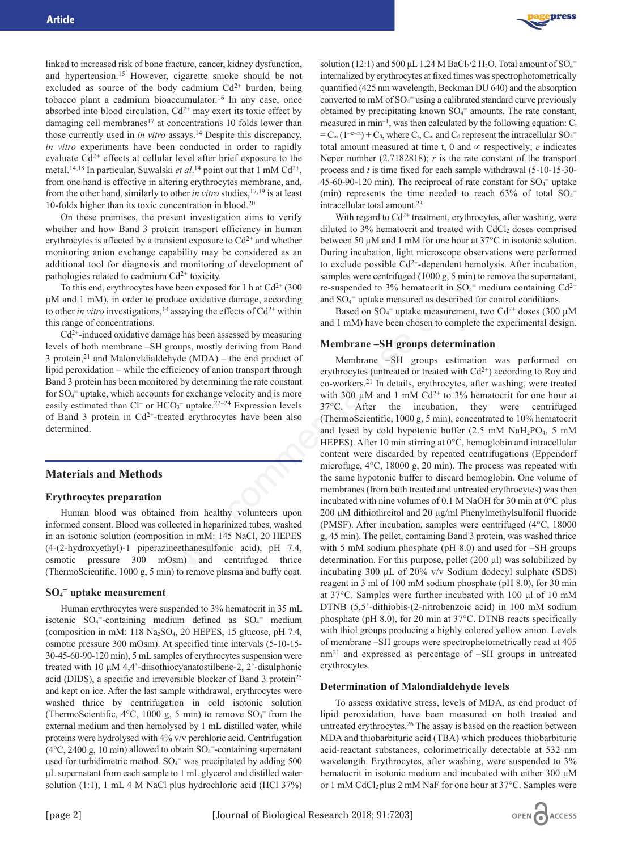

linked to increased risk of bone fracture, cancer, kidney dysfunction, and hypertension.15 However, cigarette smoke should be not excluded as source of the body cadmium  $Cd^{2+}$  burden, being tobacco plant a cadmium bioaccumulator.16 In any case, once absorbed into blood circulation,  $Cd^{2+}$  may exert its toxic effect by damaging cell membranes<sup>17</sup> at concentrations 10 folds lower than those currently used in *in vitro* assays.14 Despite this discrepancy, *in vitro* experiments have been conducted in order to rapidly evaluate  $Cd^{2+}$  effects at cellular level after brief exposure to the metal.<sup>14,18</sup> In particular, Suwalski *et al*.<sup>14</sup> point out that 1 mM Cd<sup>2+</sup>, from one hand is effective in altering erythrocytes membrane, and, from the other hand, similarly to other *in vitro* studies,<sup>17,19</sup> is at least 10-folds higher than its toxic concentration in blood.20

On these premises, the present investigation aims to verify whether and how Band 3 protein transport efficiency in human erythrocytes is affected by a transient exposure to  $Cd^{2+}$  and whether monitoring anion exchange capability may be considered as an additional tool for diagnosis and monitoring of development of pathologies related to cadmium  $Cd^{2+}$  toxicity.

To this end, erythrocytes have been exposed for 1 h at  $Cd^{2+}$  (300 µM and 1 mM), in order to produce oxidative damage, according to other *in vitro* investigations,<sup>14</sup> assaying the effects of  $Cd^{2+}$  within this range of concentrations.

 $Cd<sup>2+</sup>$ -induced oxidative damage has been assessed by measuring levels of both membrane –SH groups, mostly deriving from Band 3 protein, $21$  and Malonyldialdehyde (MDA) – the end product of lipid peroxidation – while the efficiency of anion transport through Band 3 protein has been monitored by determining the rate constant for SO<sub>4</sub><sup>=</sup> uptake, which accounts for exchange velocity and is more easily estimated than  $Cl^-$  or  $HCO_3^-$  uptake.<sup>22–24</sup> Expression levels of Band 3 protein in  $Cd^{2+}$ -treated erythrocytes have been also determined.

## **Materials and Methods**

#### **Erythrocytes preparation**

Human blood was obtained from healthy volunteers upon informed consent. Blood was collected in heparinized tubes, washed in an isotonic solution (composition in mM: 145 NaCl, 20 HEPES (4-(2-hydroxyethyl)-1 piperazineethanesulfonic acid), pH 7.4, osmotic pressure 300 mOsm) and centrifuged thrice (ThermoScientific, 1000 g, 5 min) to remove plasma and buffy coat.

## **SO4 <sup>=</sup> uptake measurement**

Human erythrocytes were suspended to 3% hematocrit in 35 mL isotonic  $SO_4$ <sup>=</sup>-containing medium defined as  $SO_4$ <sup>=</sup> medium (composition in mM:  $118 \text{ Na}_2\text{SO}_4$ , 20 HEPES, 15 glucose, pH 7.4, osmotic pressure 300 mOsm). At specified time intervals (5-10-15- 30-45-60-90-120 min), 5 mL samples of erythrocytes suspension were treated with 10 μM 4,4'-diisothiocyanatostilbene-2, 2'-disulphonic acid (DIDS), a specific and irreversible blocker of Band 3 protein25 and kept on ice. After the last sample withdrawal, erythrocytes were washed thrice by centrifugation in cold isotonic solution (ThermoScientific,  $4^{\circ}$ C, 1000 g, 5 min) to remove  $SO_4$ <sup>=</sup> from the external medium and then hemolysed by 1 mL distilled water, while proteins were hydrolysed with 4% v/v perchloric acid. Centrifugation  $(4^{\circ}C, 2400 \text{ g}, 10 \text{ min})$  allowed to obtain  $SO_4$ <sup>=</sup>-containing supernatant used for turbidimetric method.  $SO_4$ <sup>=</sup> was precipitated by adding 500 μL supernatant from each sample to 1 mL glycerol and distilled water solution (1:1), 1 mL 4 M NaCl plus hydrochloric acid (HCl 37%)

solution (12:1) and 500  $\mu$ L 1.24 M BaCl<sub>2</sub>:2 H<sub>2</sub>O. Total amount of SO<sub>4</sub><sup>=</sup> internalized by erythrocytes at fixed times was spectrophotometrically quantified (425 nm wavelength, Beckman DU 640) and the absorption converted to mM of  $SO_4$ <sup>=</sup> using a calibrated standard curve previously obtained by precipitating known  $SO_4^-$  amounts. The rate constant, measured in min<sup>-1</sup>, was then calculated by the following equation:  $C_t$  $=C_{\infty} (1^{-e-rt}) + C_0$ , where  $C_t$ ,  $C_{\infty}$  and  $C_0$  represent the intracellular SO<sub>4</sub><sup>=</sup> total amount measured at time t, 0 and  $\infty$  respectively; *e* indicates Neper number (2.7182818); *r* is the rate constant of the transport process and *t* is time fixed for each sample withdrawal (5-10-15-30- 45-60-90-120 min). The reciprocal of rate constant for  $SO_4^-$  uptake (min) represents the time needed to reach  $63\%$  of total  $SO_4$ <sup>=</sup> intracellular total amount.23

With regard to  $Cd^{2+}$  treatment, erythrocytes, after washing, were diluted to  $3\%$  hematocrit and treated with CdCl<sub>2</sub> doses comprised between 50 µM and 1 mM for one hour at 37°C in isotonic solution. During incubation, light microscope observations were performed to exclude possible  $Cd^{2+}$ -dependent hemolysis. After incubation, samples were centrifuged (1000 g, 5 min) to remove the supernatant, re-suspended to 3% hematocrit in  $SO_4$ <sup>=</sup> medium containing  $Cd^{2+}$ and SO4 <sup>=</sup> uptake measured as described for control conditions.

Based on  $SO_4$ <sup>=</sup> uptake measurement, two Cd<sup>2+</sup> doses (300 µM and 1 mM) have been chosen to complete the experimental design.

#### **Membrane –SH groups determination**

Membrane –SH groups estimation was performed on erythrocytes (untreated or treated with  $Cd^{2+}$ ) according to Roy and co-workers.21 In details, erythrocytes, after washing, were treated with 300  $\mu$ M and 1 mM Cd<sup>2+</sup> to 3% hematocrit for one hour at 37°C. After the incubation, they were centrifuged (ThermoScientific, 1000 g, 5 min), concentrated to 10% hematocrit and lysed by cold hypotonic buffer  $(2.5 \text{ mM } \text{NaH}_2\text{PO}_4, 5 \text{ mM }$ HEPES). After 10 min stirring at 0°C, hemoglobin and intracellular content were discarded by repeated centrifugations (Eppendorf microfuge, 4°C, 18000 g, 20 min). The process was repeated with the same hypotonic buffer to discard hemoglobin. One volume of membranes (from both treated and untreated erythrocytes) was then incubated with nine volumes of 0.1 M NaOH for 30 min at 0°C plus 200 μM dithiothreitol and 20 μg/ml Phenylmethylsulfonil fluoride (PMSF). After incubation, samples were centrifuged (4°C, 18000 g, 45 min). The pellet, containing Band 3 protein, was washed thrice with 5 mM sodium phosphate (pH 8.0) and used for –SH groups determination. For this purpose, pellet (200 μl) was solubilized by incubating 300 μL of 20% v/v Sodium dodecyl sulphate (SDS) reagent in 3 ml of 100 mM sodium phosphate (pH 8.0), for 30 min at 37°C. Samples were further incubated with 100 μl of 10 mM DTNB (5,5'-dithiobis-(2-nitrobenzoic acid) in 100 mM sodium phosphate (pH 8.0), for 20 min at 37°C. DTNB reacts specifically with thiol groups producing a highly colored yellow anion. Levels of membrane –SH groups were spectrophotometrically read at 405  $nm<sup>21</sup>$  and expressed as percentage of  $-SH$  groups in untreated erythrocytes. For increase for 1 h at Cd<sup>2+</sup> (300 samples we been exposed for 1 h at Cd<sup>2+</sup> (300 sesuspended to 3% hematorit in SO<sub>4</sub> saxying the effects of Cd<sup>2+</sup> within Based on SO<sub>4</sub><sup>-</sup> uptake measurement, and 1 mM) have been chosen

#### **Determination of Malondialdehyde levels**

To assess oxidative stress, levels of MDA, as end product of lipid peroxidation, have been measured on both treated and untreated erythrocytes.26 The assay is based on the reaction between MDA and thiobarbituric acid (TBA) which produces thiobarbituric acid-reactant substances, colorimetrically detectable at 532 nm wavelength. Erythrocytes, after washing, were suspended to 3% hematocrit in isotonic medium and incubated with either 300 μM or 1 mM CdCl<sub>2</sub> plus 2 mM NaF for one hour at 37°C. Samples were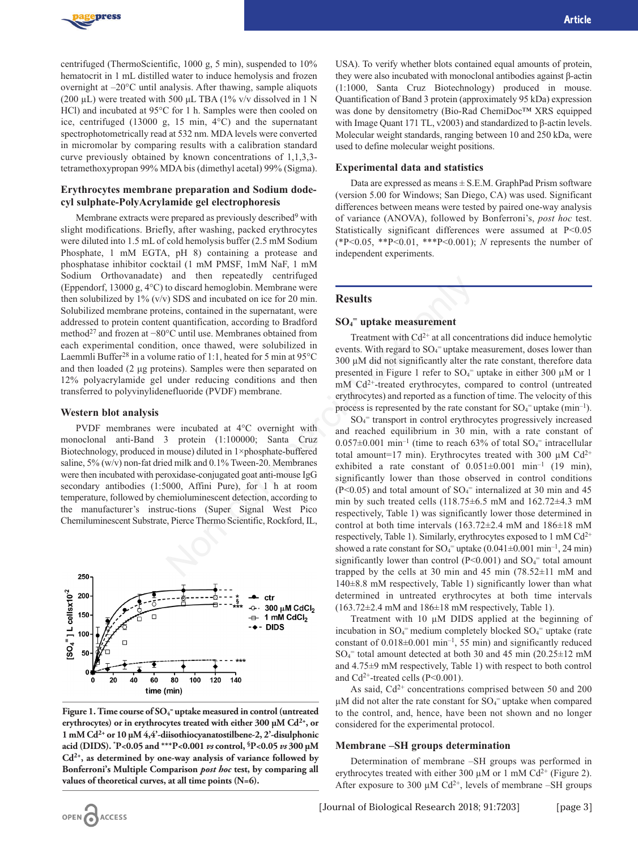

centrifuged (ThermoScientific, 1000 g, 5 min), suspended to 10% hematocrit in 1 mL distilled water to induce hemolysis and frozen overnight at –20°C until analysis. After thawing, sample aliquots (200  $\mu$ L) were treated with 500  $\mu$ L TBA (1% v/v dissolved in 1 N HCl) and incubated at 95°C for 1 h. Samples were then cooled on ice, centrifuged (13000 g, 15 min, 4°C) and the supernatant spectrophotometrically read at 532 nm. MDA levels were converted in micromolar by comparing results with a calibration standard curve previously obtained by known concentrations of 1,1,3,3 tetramethoxypropan 99% MDA bis (dimethyl acetal) 99% (Sigma).

## **Erythrocytes membrane preparation and Sodium dodecyl sulphate-PolyAcrylamide gel electrophoresis**

Membrane extracts were prepared as previously described<sup>9</sup> with slight modifications. Briefly, after washing, packed erythrocytes were diluted into 1.5 mL of cold hemolysis buffer (2.5 mM Sodium Phosphate, 1 mM EGTA, pH 8) containing a protease and phosphatase inhibitor cocktail (1 mM PMSF, 1mM NaF, 1 mM Sodium Orthovanadate) and then repeatedly centrifuged (Eppendorf, 13000 g, 4°C) to discard hemoglobin. Membrane were then solubilized by  $1\%$  (v/v) SDS and incubated on ice for 20 min. Solubilized membrane proteins, contained in the supernatant, were addressed to protein content quantification, according to Bradford method<sup>27</sup> and frozen at −80°C until use. Membranes obtained from each experimental condition, once thawed, were solubilized in Laemmli Buffer<sup>28</sup> in a volume ratio of 1:1, heated for 5 min at  $95^{\circ}$ C and then loaded (2 μg proteins). Samples were then separated on 12% polyacrylamide gel under reducing conditions and then transferred to polyvinylidenefluoride (PVDF) membrane.

#### **Western blot analysis**

OPEN ACCESS

PVDF membranes were incubated at 4°C overnight with monoclonal anti-Band 3 protein (1:100000; Santa Cruz Biotechnology, produced in mouse) diluted in 1×phosphate-buffered saline, 5% (w/v) non-fat dried milk and 0.1% Tween-20. Membranes were then incubated with peroxidase-conjugated goat anti-mouse IgG secondary antibodies (1:5000, Affini Pure), for 1 h at room temperature, followed by chemioluminescent detection, according to the manufacturer's instruc-tions (Super Signal West Pico Chemiluminescent Substrate, Pierce Thermo Scientific, Rockford, IL,



Figure 1. Time course of SO<sub>4</sub><sup>=</sup> uptake measured in control (untreated **erythrocytes) or in erythrocytes treated with either 300 µM Cd2+, or 1 mM Cd2+ or 10 µM 4,4'-diisothiocyanatostilbene-2, 2'-disulphonic acid (DIDS). \* P<0.05 and \*\*\*P<0.001** *vs* **control, §P<0.05** *vs* **300 µM Cd2+, as determined by one-way analysis of variance followed by Bonferroni's Multiple Comparison** *post hoc* **test, by comparing all values of theoretical curves, at all time points (N=6).**

USA). To verify whether blots contained equal amounts of protein, they were also incubated with monoclonal antibodies against β-actin (1:1000, Santa Cruz Biotechnology) produced in mouse. Quantification of Band 3 protein (approximately 95 kDa) expression was done by densitometry (Bio-Rad ChemiDoc™ XRS equipped with Image Quant 171 TL, v2003) and standardized to β-actin levels. Molecular weight standards, ranging between 10 and 250 kDa, were used to define molecular weight positions.

#### **Experimental data and statistics**

Data are expressed as means  $\pm$  S.E.M. GraphPad Prism software (version 5.00 for Windows; San Diego, CA) was used. Significant differences between means were tested by paired one-way analysis of variance (ANOVA), followed by Bonferroni's, *post hoc* test. Statistically significant differences were assumed at P<0.05 (\*P<0.05, \*\*P<0.01, \*\*\*P<0.001); *N* represents the number of independent experiments.

## **Results**

## **SO4 <sup>=</sup> uptake measurement**

Treatment with  $Cd^{2+}$  at all concentrations did induce hemolytic events. With regard to  $SO_4$ <sup>=</sup> uptake measurement, doses lower than 300 µM did not significantly alter the rate constant, therefore data presented in Figure 1 refer to  $SO_4$ <sup>=</sup> uptake in either 300  $\mu$ M or 1 mM Cd<sup>2+</sup>-treated erythrocytes, compared to control (untreated erythrocytes) and reported as a function of time. The velocity of this process is represented by the rate constant for  $SO_4$ <sup>=</sup> uptake (min<sup>-1</sup>).

SO4 <sup>=</sup> transport in control erythrocytes progressively increased and reached equilibrium in 30 min, with a rate constant of  $0.057 \pm 0.001$  min<sup>-1</sup> (time to reach 63% of total SO<sub>4</sub><sup>=</sup> intracellular total amount=17 min). Erythrocytes treated with 300  $\mu$ M Cd<sup>2+</sup> exhibited a rate constant of  $0.051\pm0.001$  min<sup>-1</sup> (19 min), significantly lower than those observed in control conditions (P<0.05) and total amount of  $SO_4$ <sup>=</sup> internalized at 30 min and 45 min by such treated cells (118.75±6.5 mM and 162.72±4.3 mM respectively, Table 1) was significantly lower those determined in control at both time intervals (163.72±2.4 mM and 186±18 mM respectively, Table 1). Similarly, erythrocytes exposed to 1 mM  $Cd^{2+}$ showed a rate constant for  $SO_4$ <sup>=</sup> uptake (0.041±0.001 min<sup>-1</sup>, 24 min) significantly lower than control ( $P<0.001$ ) and  $SO_4$ <sup>=</sup> total amount trapped by the cells at 30 min and 45 min  $(78.52 \pm 11 \text{ mM and})$ 140±8.8 mM respectively, Table 1) significantly lower than what determined in untreated erythrocytes at both time intervals  $(163.72\pm2.4 \text{ mM}$  and  $186\pm18 \text{ mM}$  respectively, Table 1). and une interpenetative constrained to discard hemoglobin. Membrane were<br>
to discard hemoglobin. Membrane were<br>
to discard hemoglobin. Membrane were<br>
the quantification, according to Bradford<br>
<sup>or</sup>C until use. Membranes o

> Treatment with 10 µM DIDS applied at the beginning of incubation in  $SO_4$ <sup>=</sup> medium completely blocked  $SO_4$ <sup>=</sup> uptake (rate constant of  $0.018\pm0.001$  min<sup>-1</sup>, 55 min) and significantly reduced SO4 <sup>=</sup> total amount detected at both 30 and 45 min (20.25±12 mM and 4.75±9 mM respectively, Table 1) with respect to both control and  $Cd^{2+}$ -treated cells (P<0.001).

> As said,  $Cd^{2+}$  concentrations comprised between 50 and 200  $\mu$ M did not alter the rate constant for SO<sub>4</sub><sup>=</sup> uptake when compared to the control, and, hence, have been not shown and no longer considered for the experimental protocol.

#### **Membrane –SH groups determination**

Determination of membrane –SH groups was performed in erythrocytes treated with either 300  $\mu$ M or 1 mM Cd<sup>2+</sup> (Figure 2). After exposure to 300  $\mu$ M Cd<sup>2+</sup>, levels of membrane –SH groups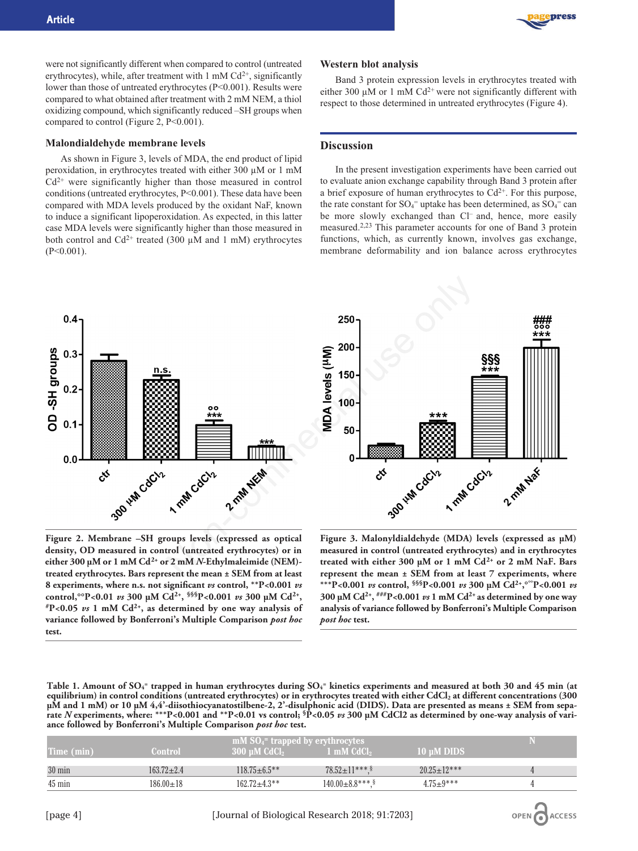were not significantly different when compared to control (untreated erythrocytes), while, after treatment with 1 mM  $Cd^{2+}$ , significantly lower than those of untreated erythrocytes (P<0.001). Results were compared to what obtained after treatment with 2 mM NEM, a thiol oxidizing compound, which significantly reduced –SH groups when compared to control (Figure 2, P<0.001).

#### **Malondialdehyde membrane levels**

As shown in Figure 3, levels of MDA, the end product of lipid peroxidation, in erythrocytes treated with either 300 µM or 1 mM  $Cd<sup>2+</sup>$  were significantly higher than those measured in control conditions (untreated erythrocytes, P<0.001). These data have been compared with MDA levels produced by the oxidant NaF, known to induce a significant lipoperoxidation. As expected, in this latter case MDA levels were significantly higher than those measured in both control and  $Cd^{2+}$  treated (300  $\mu$ M and 1 mM) erythrocytes  $(P<0.001)$ .

#### **Western blot analysis**

Band 3 protein expression levels in erythrocytes treated with either 300  $\mu$ M or 1 mM Cd<sup>2+</sup> were not significantly different with respect to those determined in untreated erythrocytes (Figure 4).

## **Discussion**

In the present investigation experiments have been carried out to evaluate anion exchange capability through Band 3 protein after a brief exposure of human erythrocytes to  $Cd^{2+}$ . For this purpose, the rate constant for  $SO_4$ <sup>=</sup> uptake has been determined, as  $SO_4$ <sup>=</sup> can be more slowly exchanged than Cl<sup>-</sup> and, hence, more easily measured.2,23 This parameter accounts for one of Band 3 protein functions, which, as currently known, involves gas exchange, membrane deformability and ion balance across erythrocytes





**Figure 2. Membrane –SH groups levels (expressed as optical density, OD measured in control (untreated erythrocytes) or in either 300 µM or 1 mM Cd2+ or 2 mM** *N***-Ethylmaleimide (NEM) treated erythrocytes. Bars represent the mean ± SEM from at least 8 experiments, where n.s. not significant** *vs* **control, \*\*P<0.001** *vs* **control,°°P<0.01** *vs* **300 µM Cd2+, §§§P<0.001** *vs* **300 µM Cd2+, #P<0.05** *vs* **1 mM Cd2+, as determined by one way analysis of variance followed by Bonferroni's Multiple Comparison** *post hoc* **test.**

**Figure 3. Malonyldialdehyde (MDA) levels (expressed as µM) measured in control (untreated erythrocytes) and in erythrocytes treated with either 300 µM or 1 mM Cd2+ or 2 mM NaF. Bars represent the mean ± SEM from at least 7 experiments, where \*\*\*P<0.001** *vs* **control, §§§P<0.001** *vs* **300 µM Cd2+,°°°P<0.001** *vs* **300 µM Cd2+, ###P<0.001** *vs* **1 mM Cd2+ as determined by one way analysis of variance followed by Bonferroni's Multiple Comparison** *post hoc* **test.**

**Table 1. Amount of SO4 <sup>=</sup> trapped in human erythrocytes during SO4 <sup>=</sup> kinetics experiments and measured at both 30 and 45 min (at** equilibrium) in control conditions (untreated erythrocytes) or in erythrocytes treated with either CdCl<sub>2</sub> at different concentrations (300 **µM and 1 mM) or 10 µM 4,4'-diisothiocyanatostilbene-2, 2'-disulphonic acid (DIDS). Data are presented as means ± SEM from separate** *N* **experiments, where: \*\*\*P<0.001 and \*\*P<0.01 vs control; §P<0.05** *vs* **300 µM CdCl2 as determined by one-way analysis of variance followed by Bonferroni's Multiple Comparison** *post hoc* **test.**

|                  |                | $mM SO4$ = trapped by erythrocytes |                        |                      |  |
|------------------|----------------|------------------------------------|------------------------|----------------------|--|
| Time (min)       | <b>Control</b> | 300 uM CdCl <sub>2</sub>           | 1 mM CdCl <sub>2</sub> | 10 uM DIDS           |  |
| $30 \text{ min}$ | $163.72 + 2.4$ | $118.75 + 6.5**$                   | $78.52 \pm 11***$ \$   | $20.25 \pm 12^{***}$ |  |
| 45 min           | $186.00 + 18$  | $162.72 + 4.3**$                   | $140.00 \pm 8.8$ ***.  | $4.75+9***$          |  |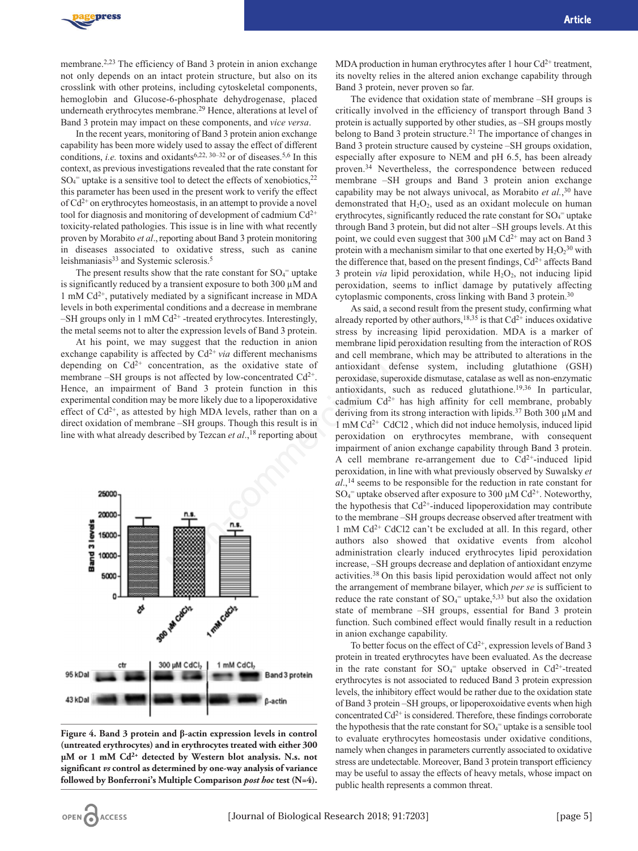

membrane.2,23 The efficiency of Band 3 protein in anion exchange not only depends on an intact protein structure, but also on its crosslink with other proteins, including cytoskeletal components, hemoglobin and Glucose-6-phosphate dehydrogenase, placed underneath erythrocytes membrane.29 Hence, alterations at level of Band 3 protein may impact on these components, and *vice versa*.

In the recent years, monitoring of Band 3 protein anion exchange capability has been more widely used to assay the effect of different conditions, *i.e.* toxins and oxidants<sup>6,22, 30-32</sup> or of diseases.<sup>5,6</sup> In this context, as previous investigations revealed that the rate constant for  $SO_4$ <sup>=</sup> uptake is a sensitive tool to detect the effects of xenobiotics,<sup>22</sup> this parameter has been used in the present work to verify the effect of  $Cd^{2+}$  on erythrocytes homeostasis, in an attempt to provide a novel tool for diagnosis and monitoring of development of cadmium  $Cd^{2+}$ toxicity-related pathologies. This issue is in line with what recently proven by Morabito *et al*., reporting about Band 3 protein monitoring in diseases associated to oxidative stress, such as canine leishmaniasis<sup>33</sup> and Systemic sclerosis.<sup>5</sup>

The present results show that the rate constant for  $SO_4^-$  uptake is significantly reduced by a transient exposure to both 300 µM and 1 mM Cd2+, putatively mediated by a significant increase in MDA levels in both experimental conditions and a decrease in membrane –SH groups only in 1 mM  $Cd^{2+}$  -treated erythrocytes. Interestingly, the metal seems not to alter the expression levels of Band 3 protein.

At his point, we may suggest that the reduction in anion exchange capability is affected by  $Cd^{2+}$  *via* different mechanisms depending on  $Cd^{2+}$  concentration, as the oxidative state of membrane –SH groups is not affected by low-concentrated  $Cd^{2+}$ . Hence, an impairment of Band 3 protein function in this experimental condition may be more likely due to a lipoperoxidative effect of  $Cd^{2+}$ , as attested by high MDA levels, rather than on a direct oxidation of membrane –SH groups. Though this result is in line with what already described by Tezcan *et al.*,<sup>18</sup> reporting about



**Figure 4. Band 3 protein and β-actin expression levels in control (untreated erythrocytes) and in erythrocytes treated with either 300 µM or 1 mM Cd2+ detected by Western blot analysis. N.s. not significant** *vs* **control as determined by one-way analysis of variance followed by Bonferroni's Multiple Comparison** *post hoc* **test (N=4).**

MDA production in human erythrocytes after 1 hour  $Cd^{2+}$  treatment, its novelty relies in the altered anion exchange capability through Band 3 protein, never proven so far.

The evidence that oxidation state of membrane –SH groups is critically involved in the efficiency of transport through Band 3 protein is actually supported by other studies, as –SH groups mostly belong to Band 3 protein structure.<sup>21</sup> The importance of changes in Band 3 protein structure caused by cysteine –SH groups oxidation, especially after exposure to NEM and pH 6.5, has been already proven.34 Nevertheless, the correspondence between reduced membrane –SH groups and Band 3 protein anion exchange capability may be not always univocal, as Morabito *et al.*, <sup>30</sup> have demonstrated that  $H_2O_2$ , used as an oxidant molecule on human erythrocytes, significantly reduced the rate constant for  $SO_4$ <sup>=</sup> uptake through Band 3 protein, but did not alter –SH groups levels. At this point, we could even suggest that 300  $\mu$ M Cd<sup>2+</sup> may act on Band 3 protein with a mechanism similar to that one exerted by  $H_2O_2^{30}$  with the difference that, based on the present findings,  $Cd^{2+}$  affects Band 3 protein *via* lipid peroxidation, while  $H_2O_2$ , not inducing lipid peroxidation, seems to inflict damage by putatively affecting cytoplasmic components, cross linking with Band 3 protein.30

As said, a second result from the present study, confirming what already reported by other authors,<sup>18,35</sup> is that  $Cd^{2+}$  induces oxidative stress by increasing lipid peroxidation. MDA is a marker of membrane lipid peroxidation resulting from the interaction of ROS and cell membrane, which may be attributed to alterations in the antioxidant defense system, including glutathione (GSH) peroxidase, superoxide dismutase, catalase as well as non-enzymatic antioxidants, such as reduced glutathione.<sup>19,36</sup> In particular, cadmium  $Cd^{2+}$  has high affinity for cell membrane, probably deriving from its strong interaction with lipids.<sup>37</sup> Both 300  $\mu$ M and  $1 \text{ mM } Cd^{2+}$  CdCl2, which did not induce hemolysis, induced lipid peroxidation on erythrocytes membrane, with consequent impairment of anion exchange capability through Band 3 protein. A cell membrane re-arrangement due to  $Cd^{2+}$ -induced lipid peroxidation, in line with what previously observed by Suwalsky *et al*.,14 seems to be responsible for the reduction in rate constant for  $SO_4$ <sup>=</sup> uptake observed after exposure to 300  $\mu$ M Cd<sup>2+</sup>. Noteworthy, the hypothesis that  $Cd^{2+}$ -induced lipoperoxidation may contribute to the membrane –SH groups decrease observed after treatment with 1 mM Cd2+ CdCl2 can't be excluded at all. In this regard, other authors also showed that oxidative events from alcohol administration clearly induced erythrocytes lipid peroxidation increase, –SH groups decrease and deplation of antioxidant enzyme activities.38 On this basis lipid peroxidation would affect not only the arrangement of membrane bilayer, which *per se* is sufficient to reduce the rate constant of  $SO_4$ <sup>=</sup> uptake,<sup>5,33</sup> but also the oxidation state of membrane –SH groups, essential for Band 3 protein function. Such combined effect would finally result in a reduction in anion exchange capability. 1 transient exposure to both 300  $\mu$ M and peroxidation, seems to inflict dand<br>conditions and a decrease in MDA expression increases on the conditions and a decrease in mormation and a cytoplasmic components, cross linkin

> To better focus on the effect of  $Cd^{2+}$ , expression levels of Band 3 protein in treated erythrocytes have been evaluated. As the decrease in the rate constant for  $SO_4$ <sup>=</sup> uptake observed in  $Cd^{2+}$ -treated erythrocytes is not associated to reduced Band 3 protein expression levels, the inhibitory effect would be rather due to the oxidation state of Band 3 protein –SH groups, or lipoperoxoidative events when high concentrated  $Cd^{2+}$  is considered. Therefore, these findings corroborate the hypothesis that the rate constant for  $SO_4$ <sup>=</sup> uptake is a sensible tool to evaluate erythrocytes homeostasis under oxidative conditions, namely when changes in parameters currently associated to oxidative stress are undetectable. Moreover, Band 3 protein transport efficiency may be useful to assay the effects of heavy metals, whose impact on public health represents a common threat.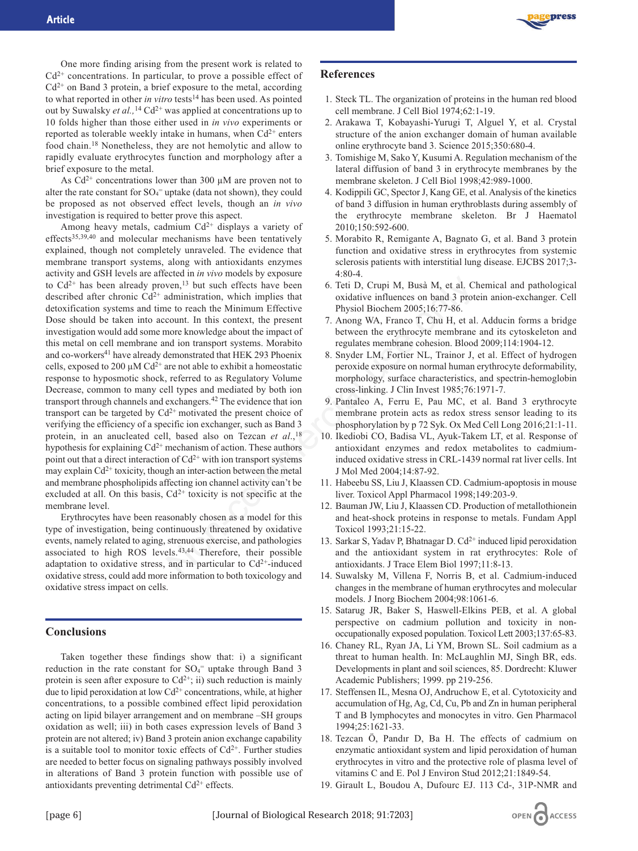

One more finding arising from the present work is related to  $Cd^{2+}$  concentrations. In particular, to prove a possible effect of  $Cd^{2+}$  on Band 3 protein, a brief exposure to the metal, according to what reported in other *in vitro* tests<sup>14</sup> has been used. As pointed out by Suwalsky *et al.,*<sup>14</sup> Cd2+ was applied at concentrations up to 10 folds higher than those either used in *in vivo* experiments or reported as tolerable weekly intake in humans, when  $Cd^{2+}$  enters food chain.18 Nonetheless, they are not hemolytic and allow to rapidly evaluate erythrocytes function and morphology after a brief exposure to the metal.

As  $Cd^{2+}$  concentrations lower than 300  $\mu$ M are proven not to alter the rate constant for  $SO_4$ <sup>=</sup> uptake (data not shown), they could be proposed as not observed effect levels, though an *in vivo* investigation is required to better prove this aspect.

Among heavy metals, cadmium  $Cd^{2+}$  displays a variety of effects<sup>35,39,40</sup> and molecular mechanisms have been tentatively explained, though not completely unraveled. The evidence that membrane transport systems, along with antioxidants enzymes activity and GSH levels are affected in *in vivo* models by exposure to  $Cd^{2+}$  has been already proven,<sup>13</sup> but such effects have been described after chronic  $Cd^{2+}$  administration, which implies that detoxification systems and time to reach the Minimum Effective Dose should be taken into account. In this context, the present investigation would add some more knowledge about the impact of this metal on cell membrane and ion transport systems. Morabito and co-workers<sup>41</sup> have already demonstrated that HEK 293 Phoenix cells, exposed to 200  $\mu$ M Cd<sup>2+</sup> are not able to exhibit a homeostatic response to hyposmotic shock, referred to as Regulatory Volume Decrease, common to many cell types and mediated by both ion transport through channels and exchangers.42 The evidence that ion transport can be targeted by  $Cd^{2+}$  motivated the present choice of verifying the efficiency of a specific ion exchanger, such as Band 3 protein, in an anucleated cell, based also on Tezcan *et al*.,18 hypothesis for explaining  $Cd^{2+}$  mechanism of action. These authors point out that a direct interaction of  $Cd^{2+}$  with ion transport systems may explain  $Cd^{2+}$  toxicity, though an inter-action between the metal and membrane phospholipids affecting ion channel activity can't be excluded at all. On this basis,  $Cd^{2+}$  toxicity is not specific at the membrane level. ven,<sup>13</sup> but such effects have been<br>
6. Teit D, Crupi M, Busà M, et al. Cl<br>
eta to reache Minimum Effective influences on band 3 prot<br>
to reache Minimum Effective Physiol Biochem 2005;16:77-86.<br>
none knowledge about the i

Erythrocytes have been reasonably chosen as a model for this type of investigation, being continuously threatened by oxidative events, namely related to aging, strenuous exercise, and pathologies associated to high ROS levels.43,44 Therefore, their possible adaptation to oxidative stress, and in particular to  $Cd^{2+}$ -induced oxidative stress, could add more information to both toxicology and oxidative stress impact on cells.

#### **Conclusions**

Taken together these findings show that: i) a significant reduction in the rate constant for  $SO_4$ <sup>=</sup> uptake through Band 3 protein is seen after exposure to  $Cd^{2+}$ ; ii) such reduction is mainly due to lipid peroxidation at low  $Cd^{2+}$  concentrations, while, at higher concentrations, to a possible combined effect lipid peroxidation acting on lipid bilayer arrangement and on membrane –SH groups oxidation as well; iii) in both cases expression levels of Band 3 protein are not altered; iv) Band 3 protein anion exchange capability is a suitable tool to monitor toxic effects of  $Cd^{2+}$ . Further studies are needed to better focus on signaling pathways possibly involved in alterations of Band 3 protein function with possible use of antioxidants preventing detrimental  $Cd^{2+}$  effects.

## **References**

- 1. Steck TL. The organization of proteins in the human red blood cell membrane. J Cell Biol 1974;62:1-19.
- 2. Arakawa T, Kobayashi-Yurugi T, Alguel Y, et al. Crystal structure of the anion exchanger domain of human available online erythrocyte band 3. Science 2015;350:680-4.
- 3. Tomishige M, Sako Y, Kusumi A. Regulation mechanism of the lateral diffusion of band 3 in erythrocyte membranes by the membrane skeleton. J Cell Biol 1998;42:989-1000.
- 4. Kodippili GC, Spector J, Kang GE, et al. Analysis of the kinetics of band 3 diffusion in human erythroblasts during assembly of the erythrocyte membrane skeleton. Br J Haematol 2010;150:592-600.
- 5. Morabito R, Remigante A, Bagnato G, et al. Band 3 protein function and oxidative stress in erythrocytes from systemic sclerosis patients with interstitial lung disease. EJCBS 2017;3- 4:80-4.
- 6. Teti D, Crupi M, Busà M, et al. Chemical and pathological oxidative influences on band 3 protein anion-exchanger. Cell Physiol Biochem 2005;16:77-86.
- 7. Anong WA, Franco T, Chu H, et al. Adducin forms a bridge between the erythrocyte membrane and its cytoskeleton and regulates membrane cohesion. Blood 2009;114:1904-12.
- 8. Snyder LM, Fortier NL, Trainor J, et al. Effect of hydrogen peroxide exposure on normal human erythrocyte deformability, morphology, surface characteristics, and spectrin-hemoglobin cross-linking. J Clin Invest 1985;76:1971-7.
- 9. Pantaleo A, Ferru E, Pau MC, et al. Band 3 erythrocyte membrane protein acts as redox stress sensor leading to its phosphorylation by p 72 Syk. Ox Med Cell Long 2016;21:1-11.
- 10. Ikediobi CO, Badisa VL, Ayuk-Takem LT, et al. Response of antioxidant enzymes and redox metabolites to cadmiuminduced oxidative stress in CRL-1439 normal rat liver cells. Int J Mol Med 2004;14:87-92.
- 11. Habeebu SS, Liu J, Klaassen CD. Cadmium-apoptosis in mouse liver. Toxicol Appl Pharmacol 1998;149:203-9.
- 12. Bauman JW, Liu J, Klaassen CD. Production of metallothionein and heat-shock proteins in response to metals. Fundam Appl Toxicol 1993;21:15-22.
- 13. Sarkar S, Yadav P, Bhatnagar D.  $Cd^{2+}$  induced lipid peroxidation and the antioxidant system in rat erythrocytes: Role of antioxidants. J Trace Elem Biol 1997;11:8-13.
- 14. Suwalsky M, Villena F, Norris B, et al. Cadmium-induced changes in the membrane of human erythrocytes and molecular models. J Inorg Biochem 2004;98:1061-6.
- 15. Satarug JR, Baker S, Haswell-Elkins PEB, et al. A global perspective on cadmium pollution and toxicity in nonoccupationally exposed population. Toxicol Lett 2003;137:65-83.
- 16. Chaney RL, Ryan JA, Li YM, Brown SL. Soil cadmium as a threat to human health. In: McLaughlin MJ, Singh BR, eds. Developments in plant and soil sciences, 85. Dordrecht: Kluwer Academic Publishers; 1999. pp 219-256.
- 17. Steffensen IL, Mesna OJ, Andruchow E, et al. Cytotoxicity and accumulation of Hg, Ag, Cd, Cu, Pb and Zn in human peripheral T and B lymphocytes and monocytes in vitro. Gen Pharmacol 1994;25:1621-33.
- 18. Tezcan Ö, Pandır D, Ba H. The effects of cadmium on enzymatic antioxidant system and lipid peroxidation of human erythrocytes in vitro and the protective role of plasma level of vitamins C and E. Pol J Environ Stud 2012;21:1849-54.
- 19. Girault L, Boudou A, Dufourc EJ. 113 Cd-, 31P-NMR and